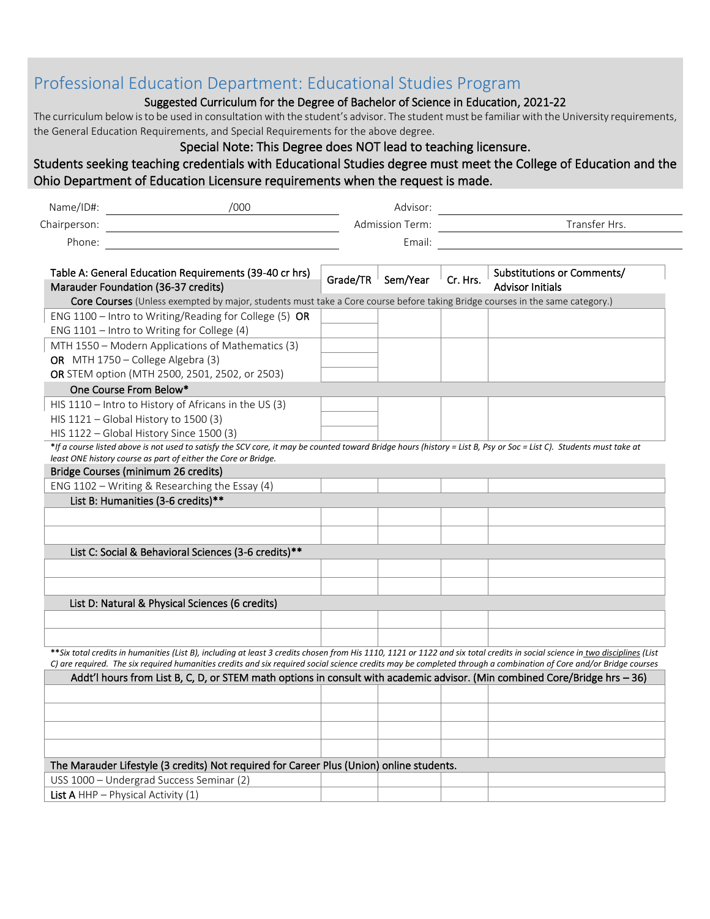## Professional Education Department: Educational Studies Program

## Suggested Curriculum for the Degree of Bachelor of Science in Education, 2021-22

The curriculum below is to be used in consultation with the student's advisor. The student must be familiar with the University requirements, the General Education Requirements, and Special Requirements for the above degree.

Special Note: This Degree does NOT lead to teaching licensure.

## Students seeking teaching credentials with Educational Studies degree must meet the College of Education and the Ohio Department of Education Licensure requirements when the request is made.

| Name/ID#:                                | /000                                                                                                                                                                                                                                  |  | Advisor:               |          |                                                                                                                                                                                                                                                                                                                                                   |  |  |
|------------------------------------------|---------------------------------------------------------------------------------------------------------------------------------------------------------------------------------------------------------------------------------------|--|------------------------|----------|---------------------------------------------------------------------------------------------------------------------------------------------------------------------------------------------------------------------------------------------------------------------------------------------------------------------------------------------------|--|--|
| Chairperson:                             |                                                                                                                                                                                                                                       |  | <b>Admission Term:</b> |          | Transfer Hrs.                                                                                                                                                                                                                                                                                                                                     |  |  |
| Phone:                                   |                                                                                                                                                                                                                                       |  | Email:                 |          |                                                                                                                                                                                                                                                                                                                                                   |  |  |
|                                          |                                                                                                                                                                                                                                       |  |                        |          |                                                                                                                                                                                                                                                                                                                                                   |  |  |
| Marauder Foundation (36-37 credits)      | Table A: General Education Requirements (39-40 cr hrs)                                                                                                                                                                                |  | Grade/TR $\,$ Sem/Year | Cr. Hrs. | Substitutions or Comments/<br><b>Advisor Initials</b>                                                                                                                                                                                                                                                                                             |  |  |
|                                          | Core Courses (Unless exempted by major, students must take a Core course before taking Bridge courses in the same category.)                                                                                                          |  |                        |          |                                                                                                                                                                                                                                                                                                                                                   |  |  |
|                                          | ENG 1100 - Intro to Writing/Reading for College (5) OR                                                                                                                                                                                |  |                        |          |                                                                                                                                                                                                                                                                                                                                                   |  |  |
|                                          | ENG 1101 - Intro to Writing for College (4)                                                                                                                                                                                           |  |                        |          |                                                                                                                                                                                                                                                                                                                                                   |  |  |
|                                          | MTH 1550 - Modern Applications of Mathematics (3)                                                                                                                                                                                     |  |                        |          |                                                                                                                                                                                                                                                                                                                                                   |  |  |
| OR MTH 1750 - College Algebra (3)        |                                                                                                                                                                                                                                       |  |                        |          |                                                                                                                                                                                                                                                                                                                                                   |  |  |
|                                          | OR STEM option (MTH 2500, 2501, 2502, or 2503)                                                                                                                                                                                        |  |                        |          |                                                                                                                                                                                                                                                                                                                                                   |  |  |
| One Course From Below*                   |                                                                                                                                                                                                                                       |  |                        |          |                                                                                                                                                                                                                                                                                                                                                   |  |  |
|                                          | HIS 1110 - Intro to History of Africans in the US (3)                                                                                                                                                                                 |  |                        |          |                                                                                                                                                                                                                                                                                                                                                   |  |  |
| HIS 1121 - Global History to 1500 (3)    |                                                                                                                                                                                                                                       |  |                        |          |                                                                                                                                                                                                                                                                                                                                                   |  |  |
| HIS 1122 - Global History Since 1500 (3) |                                                                                                                                                                                                                                       |  |                        |          |                                                                                                                                                                                                                                                                                                                                                   |  |  |
| Bridge Courses (minimum 26 credits)      | *If a course listed above is not used to satisfy the SCV core, it may be counted toward Bridge hours (history = List B, Psy or Soc = List C). Students must take at<br>least ONE history course as part of either the Core or Bridge. |  |                        |          |                                                                                                                                                                                                                                                                                                                                                   |  |  |
|                                          | ENG 1102 - Writing & Researching the Essay (4)                                                                                                                                                                                        |  |                        |          |                                                                                                                                                                                                                                                                                                                                                   |  |  |
| List B: Humanities (3-6 credits)**       |                                                                                                                                                                                                                                       |  |                        |          |                                                                                                                                                                                                                                                                                                                                                   |  |  |
|                                          |                                                                                                                                                                                                                                       |  |                        |          |                                                                                                                                                                                                                                                                                                                                                   |  |  |
|                                          |                                                                                                                                                                                                                                       |  |                        |          |                                                                                                                                                                                                                                                                                                                                                   |  |  |
|                                          | List C: Social & Behavioral Sciences (3-6 credits)**                                                                                                                                                                                  |  |                        |          |                                                                                                                                                                                                                                                                                                                                                   |  |  |
|                                          |                                                                                                                                                                                                                                       |  |                        |          |                                                                                                                                                                                                                                                                                                                                                   |  |  |
|                                          |                                                                                                                                                                                                                                       |  |                        |          |                                                                                                                                                                                                                                                                                                                                                   |  |  |
|                                          |                                                                                                                                                                                                                                       |  |                        |          |                                                                                                                                                                                                                                                                                                                                                   |  |  |
|                                          | List D: Natural & Physical Sciences (6 credits)                                                                                                                                                                                       |  |                        |          |                                                                                                                                                                                                                                                                                                                                                   |  |  |
|                                          |                                                                                                                                                                                                                                       |  |                        |          |                                                                                                                                                                                                                                                                                                                                                   |  |  |
|                                          |                                                                                                                                                                                                                                       |  |                        |          |                                                                                                                                                                                                                                                                                                                                                   |  |  |
|                                          |                                                                                                                                                                                                                                       |  |                        |          | **Six total credits in humanities (List B), including at least 3 credits chosen from His 1110, 1121 or 1122 and six total credits in social science in two disciplines (List<br>C) are required. The six required humanities credits and six required social science credits may be completed through a combination of Core and/or Bridge courses |  |  |
|                                          | Addt'l hours from List B, C, D, or STEM math options in consult with academic advisor. (Min combined Core/Bridge hrs - 36)                                                                                                            |  |                        |          |                                                                                                                                                                                                                                                                                                                                                   |  |  |
|                                          |                                                                                                                                                                                                                                       |  |                        |          |                                                                                                                                                                                                                                                                                                                                                   |  |  |
|                                          |                                                                                                                                                                                                                                       |  |                        |          |                                                                                                                                                                                                                                                                                                                                                   |  |  |
|                                          |                                                                                                                                                                                                                                       |  |                        |          |                                                                                                                                                                                                                                                                                                                                                   |  |  |
|                                          |                                                                                                                                                                                                                                       |  |                        |          |                                                                                                                                                                                                                                                                                                                                                   |  |  |
|                                          |                                                                                                                                                                                                                                       |  |                        |          |                                                                                                                                                                                                                                                                                                                                                   |  |  |
|                                          | The Marauder Lifestyle (3 credits) Not required for Career Plus (Union) online students.                                                                                                                                              |  |                        |          |                                                                                                                                                                                                                                                                                                                                                   |  |  |
|                                          | USS 1000 - Undergrad Success Seminar (2)                                                                                                                                                                                              |  |                        |          |                                                                                                                                                                                                                                                                                                                                                   |  |  |

List A HHP – Physical Activity (1)